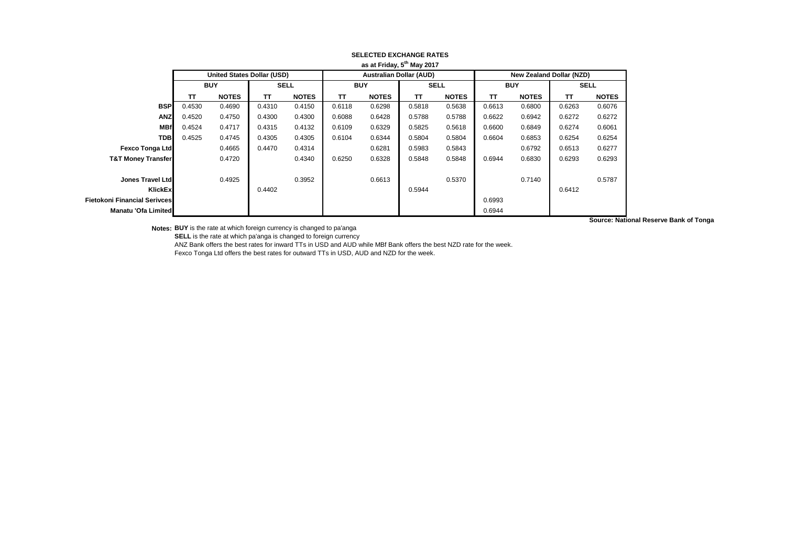|                                     | a sai Filuay, J may Zuir          |              |             |              |                                |              |             |              |                          |              |             |                                        |
|-------------------------------------|-----------------------------------|--------------|-------------|--------------|--------------------------------|--------------|-------------|--------------|--------------------------|--------------|-------------|----------------------------------------|
|                                     | <b>United States Dollar (USD)</b> |              |             |              | <b>Australian Dollar (AUD)</b> |              |             |              | New Zealand Dollar (NZD) |              |             |                                        |
|                                     |                                   | <b>BUY</b>   | <b>SELL</b> |              | <b>BUY</b>                     |              | <b>SELL</b> |              | <b>BUY</b>               |              | <b>SELL</b> |                                        |
|                                     | TΤ                                | <b>NOTES</b> | TΤ          | <b>NOTES</b> | <b>TT</b>                      | <b>NOTES</b> | TΤ          | <b>NOTES</b> | <b>TT</b>                | <b>NOTES</b> | TΤ          | <b>NOTES</b>                           |
| <b>BSP</b>                          | 0.4530                            | 0.4690       | 0.4310      | 0.4150       | 0.6118                         | 0.6298       | 0.5818      | 0.5638       | 0.6613                   | 0.6800       | 0.6263      | 0.6076                                 |
| <b>ANZ</b>                          | 0.4520                            | 0.4750       | 0.4300      | 0.4300       | 0.6088                         | 0.6428       | 0.5788      | 0.5788       | 0.6622                   | 0.6942       | 0.6272      | 0.6272                                 |
| <b>MBf</b>                          | 0.4524                            | 0.4717       | 0.4315      | 0.4132       | 0.6109                         | 0.6329       | 0.5825      | 0.5618       | 0.6600                   | 0.6849       | 0.6274      | 0.6061                                 |
| <b>TDB</b>                          | 0.4525                            | 0.4745       | 0.4305      | 0.4305       | 0.6104                         | 0.6344       | 0.5804      | 0.5804       | 0.6604                   | 0.6853       | 0.6254      | 0.6254                                 |
| <b>Fexco Tonga Ltd</b>              |                                   | 0.4665       | 0.4470      | 0.4314       |                                | 0.6281       | 0.5983      | 0.5843       |                          | 0.6792       | 0.6513      | 0.6277                                 |
| <b>T&amp;T Money Transfer</b>       |                                   | 0.4720       |             | 0.4340       | 0.6250                         | 0.6328       | 0.5848      | 0.5848       | 0.6944                   | 0.6830       | 0.6293      | 0.6293                                 |
|                                     |                                   |              |             |              |                                |              |             |              |                          |              |             |                                        |
| Jones Travel Ltd                    |                                   | 0.4925       |             | 0.3952       |                                | 0.6613       |             | 0.5370       |                          | 0.7140       |             | 0.5787                                 |
| KlickEx                             |                                   |              | 0.4402      |              |                                |              | 0.5944      |              |                          |              | 0.6412      |                                        |
| <b>Fietokoni Financial Serivces</b> |                                   |              |             |              |                                |              |             |              | 0.6993                   |              |             |                                        |
| Manatu 'Ofa Limited                 |                                   |              |             |              |                                |              |             |              | 0.6944                   |              |             |                                        |
|                                     |                                   |              |             |              |                                |              |             |              |                          |              |             | Source: National Reserve Bank of Tonga |

## **SELECTED EXCHANGE RATES as at Friday, 5th May 2017**

**Notes: BUY** is the rate at which foreign currency is changed to pa'anga

**SELL** is the rate at which pa'anga is changed to foreign currency

ANZ Bank offers the best rates for inward TTs in USD and AUD while MBf Bank offers the best NZD rate for the week.

Fexco Tonga Ltd offers the best rates for outward TTs in USD, AUD and NZD for the week.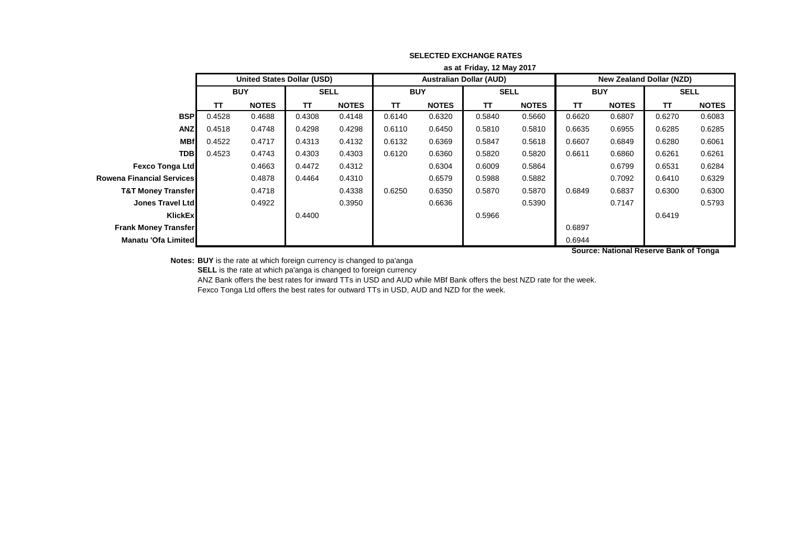|                                  | as at Friday, 12 May 2017              |                                   |              |              |            |              |                                |              |                                 |              |             |              |
|----------------------------------|----------------------------------------|-----------------------------------|--------------|--------------|------------|--------------|--------------------------------|--------------|---------------------------------|--------------|-------------|--------------|
|                                  |                                        | <b>United States Dollar (USD)</b> |              |              |            |              | <b>Australian Dollar (AUD)</b> |              | <b>New Zealand Dollar (NZD)</b> |              |             |              |
|                                  | <b>BUY</b>                             |                                   | <b>SELL</b>  |              | <b>BUY</b> |              | <b>SELL</b>                    |              | <b>BUY</b>                      |              | <b>SELL</b> |              |
|                                  | <b>TT</b>                              | <b>NOTES</b>                      | $\mathbf{T}$ | <b>NOTES</b> | TΤ         | <b>NOTES</b> | TΤ                             | <b>NOTES</b> | <b>TT</b>                       | <b>NOTES</b> | <b>TT</b>   | <b>NOTES</b> |
| <b>BSP</b>                       | 0.4528                                 | 0.4688                            | 0.4308       | 0.4148       | 0.6140     | 0.6320       | 0.5840                         | 0.5660       | 0.6620                          | 0.6807       | 0.6270      | 0.6083       |
| <b>ANZ</b>                       | 0.4518                                 | 0.4748                            | 0.4298       | 0.4298       | 0.6110     | 0.6450       | 0.5810                         | 0.5810       | 0.6635                          | 0.6955       | 0.6285      | 0.6285       |
| <b>MBf</b>                       | 0.4522                                 | 0.4717                            | 0.4313       | 0.4132       | 0.6132     | 0.6369       | 0.5847                         | 0.5618       | 0.6607                          | 0.6849       | 0.6280      | 0.6061       |
| <b>TDB</b>                       | 0.4523                                 | 0.4743                            | 0.4303       | 0.4303       | 0.6120     | 0.6360       | 0.5820                         | 0.5820       | 0.6611                          | 0.6860       | 0.6261      | 0.6261       |
| <b>Fexco Tonga Ltd</b>           |                                        | 0.4663                            | 0.4472       | 0.4312       |            | 0.6304       | 0.6009                         | 0.5864       |                                 | 0.6799       | 0.6531      | 0.6284       |
| <b>Rowena Financial Services</b> |                                        | 0.4878                            | 0.4464       | 0.4310       |            | 0.6579       | 0.5988                         | 0.5882       |                                 | 0.7092       | 0.6410      | 0.6329       |
| <b>T&amp;T Money Transfer</b>    |                                        | 0.4718                            |              | 0.4338       | 0.6250     | 0.6350       | 0.5870                         | 0.5870       | 0.6849                          | 0.6837       | 0.6300      | 0.6300       |
| Jones Travel Ltd                 |                                        | 0.4922                            |              | 0.3950       |            | 0.6636       |                                | 0.5390       |                                 | 0.7147       |             | 0.5793       |
| <b>KlickEx</b>                   |                                        |                                   | 0.4400       |              |            |              | 0.5966                         |              |                                 |              | 0.6419      |              |
| <b>Frank Money Transfer</b>      |                                        |                                   |              |              |            |              |                                |              | 0.6897                          |              |             |              |
| Manatu 'Ofa Limited              |                                        |                                   |              |              |            |              |                                |              | 0.6944                          |              |             |              |
|                                  | Source: National Reserve Bank of Tonga |                                   |              |              |            |              |                                |              |                                 |              |             |              |

## **SELECTED EXCHANGE RATES**

**Notes: BUY** is the rate at which foreign currency is changed to pa'anga

**SELL** is the rate at which pa'anga is changed to foreign currency

ANZ Bank offers the best rates for inward TTs in USD and AUD while MBf Bank offers the best NZD rate for the week.

Fexco Tonga Ltd offers the best rates for outward TTs in USD, AUD and NZD for the week.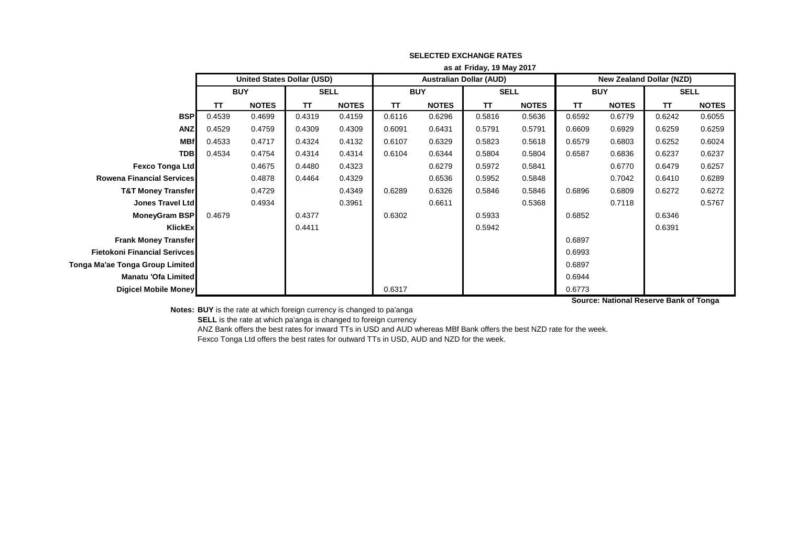|                                     | as at Friday, 19 May 2017 |                                   |             |              |            |              |                                |              |                                 |              |             |              |
|-------------------------------------|---------------------------|-----------------------------------|-------------|--------------|------------|--------------|--------------------------------|--------------|---------------------------------|--------------|-------------|--------------|
|                                     |                           | <b>United States Dollar (USD)</b> |             |              |            |              | <b>Australian Dollar (AUD)</b> |              | <b>New Zealand Dollar (NZD)</b> |              |             |              |
|                                     | <b>BUY</b>                |                                   | <b>SELL</b> |              | <b>BUY</b> |              | <b>SELL</b>                    |              | <b>BUY</b>                      |              | <b>SELL</b> |              |
|                                     | <b>NOTES</b><br>ΤT        |                                   | T           | <b>NOTES</b> | TΤ         | <b>NOTES</b> | ΤT                             | <b>NOTES</b> | <b>TT</b>                       | <b>NOTES</b> | TΤ          | <b>NOTES</b> |
| <b>BSP</b>                          | 0.4539                    | 0.4699                            | 0.4319      | 0.4159       | 0.6116     | 0.6296       | 0.5816                         | 0.5636       | 0.6592                          | 0.6779       | 0.6242      | 0.6055       |
| <b>ANZ</b>                          | 0.4529                    | 0.4759                            | 0.4309      | 0.4309       | 0.6091     | 0.6431       | 0.5791                         | 0.5791       | 0.6609                          | 0.6929       | 0.6259      | 0.6259       |
| <b>MBf</b>                          | 0.4533                    | 0.4717                            | 0.4324      | 0.4132       | 0.6107     | 0.6329       | 0.5823                         | 0.5618       | 0.6579                          | 0.6803       | 0.6252      | 0.6024       |
| <b>TDB</b>                          | 0.4534                    | 0.4754                            | 0.4314      | 0.4314       | 0.6104     | 0.6344       | 0.5804                         | 0.5804       | 0.6587                          | 0.6836       | 0.6237      | 0.6237       |
| <b>Fexco Tonga Ltd</b>              |                           | 0.4675                            | 0.4480      | 0.4323       |            | 0.6279       | 0.5972                         | 0.5841       |                                 | 0.6770       | 0.6479      | 0.6257       |
| <b>Rowena Financial Services</b>    |                           | 0.4878                            | 0.4464      | 0.4329       |            | 0.6536       | 0.5952                         | 0.5848       |                                 | 0.7042       | 0.6410      | 0.6289       |
| <b>T&amp;T Money Transfer</b>       |                           | 0.4729                            |             | 0.4349       | 0.6289     | 0.6326       | 0.5846                         | 0.5846       | 0.6896                          | 0.6809       | 0.6272      | 0.6272       |
| <b>Jones Travel Ltd</b>             |                           | 0.4934                            |             | 0.3961       |            | 0.6611       |                                | 0.5368       |                                 | 0.7118       |             | 0.5767       |
| MoneyGram BSP                       | 0.4679                    |                                   | 0.4377      |              | 0.6302     |              | 0.5933                         |              | 0.6852                          |              | 0.6346      |              |
| KlickEx                             |                           |                                   | 0.4411      |              |            |              | 0.5942                         |              |                                 |              | 0.6391      |              |
| <b>Frank Money Transfer</b>         |                           |                                   |             |              |            |              |                                |              | 0.6897                          |              |             |              |
| <b>Fietokoni Financial Serivces</b> |                           |                                   |             |              |            |              |                                |              | 0.6993                          |              |             |              |
| Tonga Ma'ae Tonga Group Limited     |                           |                                   |             |              |            |              |                                |              | 0.6897                          |              |             |              |
| Manatu 'Ofa Limited                 |                           |                                   |             |              |            |              |                                |              | 0.6944                          |              |             |              |
| Digicel Mobile Money                |                           |                                   |             |              | 0.6317     |              |                                |              | 0.6773                          |              |             |              |

## **SELECTED EXCHANGE RATES**

**Source: National Reserve Bank of Tonga**

**Notes: BUY** is the rate at which foreign currency is changed to pa'anga

**SELL** is the rate at which pa'anga is changed to foreign currency

ANZ Bank offers the best rates for inward TTs in USD and AUD whereas MBf Bank offers the best NZD rate for the week. Fexco Tonga Ltd offers the best rates for outward TTs in USD, AUD and NZD for the week.